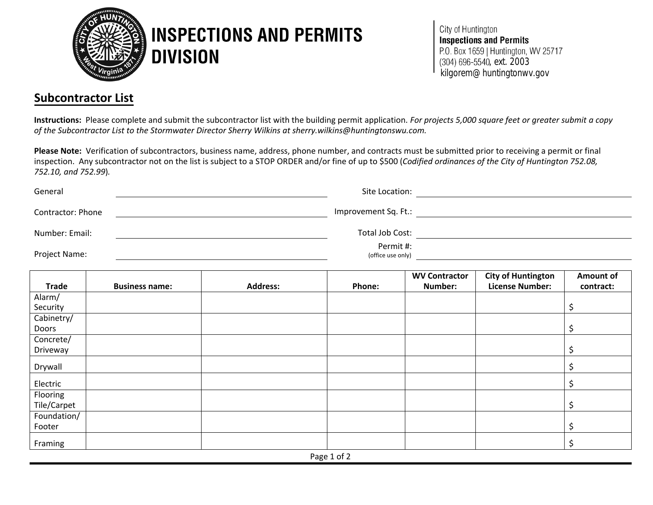

## **INSPECTIONS AND PERMITS DIVISION**

City of Huntington **Inspections and Permits** P.O. Box 1659 | Huntington, WV 25717  $(304) 696 - 5540$ , ext. 2003<br>
kilgorem@huntingtonwy.gov

## **Subcontractor List**

**Instructions:** Please complete and submit the subcontractor list with the building permit application. *For projects 5,000 square feet or greater submit a copy of the Subcontractor List to the Stormwater Director Sherry Wilkins at sherry.wilkins@huntingtonswu.com.* 

**Please Note:** Verification of subcontractors, business name, address, phone number, and contracts must be submitted prior to receiving a permit or final inspection. Any subcontractor not on the list is subject to a STOP ORDER and/or fine of up to \$500 (*Codified ordinances of the City of Huntington 752.08, 752.10, and 752.99*)*.*

| General           | Site Location:                 |  |
|-------------------|--------------------------------|--|
| Contractor: Phone | Improvement Sq. Ft.:           |  |
| Number: Email:    | Total Job Cost:                |  |
| Project Name:     | Permit #:<br>(office use only) |  |

|              |                       |                 |        | <b>WV Contractor</b> | <b>City of Huntington</b> | Amount of |  |
|--------------|-----------------------|-----------------|--------|----------------------|---------------------------|-----------|--|
| <b>Trade</b> | <b>Business name:</b> | <b>Address:</b> | Phone: | Number:              | <b>License Number:</b>    | contract: |  |
| Alarm/       |                       |                 |        |                      |                           |           |  |
| Security     |                       |                 |        |                      |                           |           |  |
| Cabinetry/   |                       |                 |        |                      |                           |           |  |
| Doors        |                       |                 |        |                      |                           |           |  |
| Concrete/    |                       |                 |        |                      |                           |           |  |
| Driveway     |                       |                 |        |                      |                           |           |  |
| Drywall      |                       |                 |        |                      |                           |           |  |
| Electric     |                       |                 |        |                      |                           |           |  |
| Flooring     |                       |                 |        |                      |                           |           |  |
| Tile/Carpet  |                       |                 |        |                      |                           |           |  |
| Foundation/  |                       |                 |        |                      |                           |           |  |
| Footer       |                       |                 |        |                      |                           |           |  |
| Framing      |                       |                 |        |                      |                           |           |  |
| Page 1 of 2  |                       |                 |        |                      |                           |           |  |